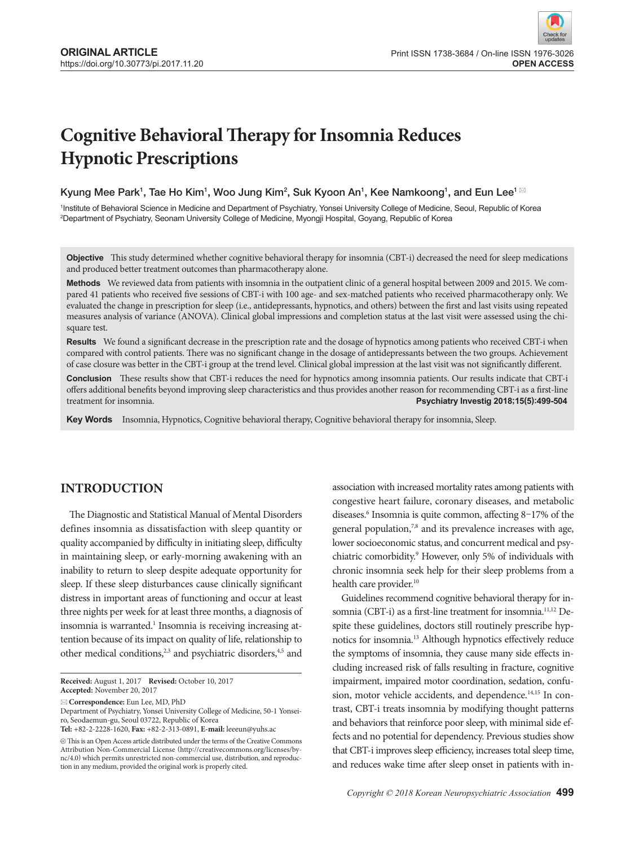# **Cognitive Behavioral Therapy for Insomnia Reduces Hypnotic Prescriptions**

Kyung Mee Park $^{\mathsf{1}},$  Tae Ho Kim $^{\mathsf{1}},$  Woo Jung Kim $^{\mathsf{2}},$  Suk Kyoon An $^{\mathsf{1}},$  Kee Namkoong $^{\mathsf{1}},$  and Eun Lee $^{\mathsf{1}}$   $\Xi$ 

1 Institute of Behavioral Science in Medicine and Department of Psychiatry, Yonsei University College of Medicine, Seoul, Republic of Korea 2 Department of Psychiatry, Seonam University College of Medicine, Myongji Hospital, Goyang, Republic of Korea

**Objective** This study determined whether cognitive behavioral therapy for insomnia (CBT-i) decreased the need for sleep medications and produced better treatment outcomes than pharmacotherapy alone.

**Methods** We reviewed data from patients with insomnia in the outpatient clinic of a general hospital between 2009 and 2015. We compared 41 patients who received five sessions of CBT-i with 100 age- and sex-matched patients who received pharmacotherapy only. We evaluated the change in prescription for sleep (i.e., antidepressants, hypnotics, and others) between the first and last visits using repeated measures analysis of variance (ANOVA). Clinical global impressions and completion status at the last visit were assessed using the chisquare test.

**Results** We found a significant decrease in the prescription rate and the dosage of hypnotics among patients who received CBT-i when compared with control patients. There was no significant change in the dosage of antidepressants between the two groups. Achievement of case closure was better in the CBT-i group at the trend level. Clinical global impression at the last visit was not significantly different.

**Conclusion** These results show that CBT-i reduces the need for hypnotics among insomnia patients. Our results indicate that CBT-i offers additional benefits beyond improving sleep characteristics and thus provides another reason for recommending CBT-i as a first-line treatment for insomnia. **Psychiatry Investig 2018;15(5):499-504**

Key Words Insomnia, Hypnotics, Cognitive behavioral therapy, Cognitive behavioral therapy for insomnia, Sleep.

# **INTRODUCTION**

The Diagnostic and Statistical Manual of Mental Disorders defines insomnia as dissatisfaction with sleep quantity or quality accompanied by difficulty in initiating sleep, difficulty in maintaining sleep, or early-morning awakening with an inability to return to sleep despite adequate opportunity for sleep. If these sleep disturbances cause clinically significant distress in important areas of functioning and occur at least three nights per week for at least three months, a diagnosis of insomnia is warranted.<sup>1</sup> Insomnia is receiving increasing attention because of its impact on quality of life, relationship to other medical conditions,<sup>2,3</sup> and psychiatric disorders,<sup>4,5</sup> and

association with increased mortality rates among patients with congestive heart failure, coronary diseases, and metabolic diseases.<sup>6</sup> Insomnia is quite common, affecting 8-17% of the general population,<sup>7,8</sup> and its prevalence increases with age, lower socioeconomic status, and concurrent medical and psychiatric comorbidity.9 However, only 5% of individuals with chronic insomnia seek help for their sleep problems from a health care provider.<sup>10</sup>

Guidelines recommend cognitive behavioral therapy for insomnia (CBT-i) as a first-line treatment for insomnia.<sup>11,12</sup> Despite these guidelines, doctors still routinely prescribe hypnotics for insomnia.13 Although hypnotics effectively reduce the symptoms of insomnia, they cause many side effects including increased risk of falls resulting in fracture, cognitive impairment, impaired motor coordination, sedation, confusion, motor vehicle accidents, and dependence.<sup>14,15</sup> In contrast, CBT-i treats insomnia by modifying thought patterns and behaviors that reinforce poor sleep, with minimal side effects and no potential for dependency. Previous studies show that CBT-i improves sleep efficiency, increases total sleep time, and reduces wake time after sleep onset in patients with in-

**Received:** August 1, 2017 **Revised:** October 10, 2017 **Accepted:** November 20, 2017

**Correspondence:** Eun Lee, MD, PhD

Department of Psychiatry, Yonsei University College of Medicine, 50-1 Yonseiro, Seodaemun-gu, Seoul 03722, Republic of Korea

**Tel:** +82-2-2228-1620, **Fax:** +82-2-313-0891, **E-mail:** leeeun@yuhs.ac

 $\circledR$  This is an Open Access article distributed under the terms of the Creative Commons Attribution Non-Commercial License (http://creativecommons.org/licenses/bync/4.0) which permits unrestricted non-commercial use, distribution, and reproduction in any medium, provided the original work is properly cited.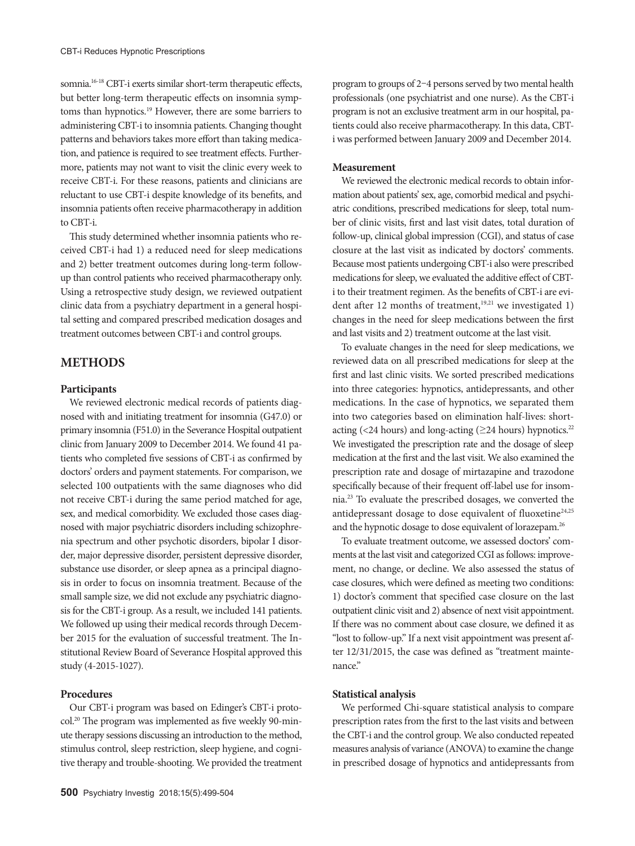somnia.<sup>16-18</sup> CBT-i exerts similar short-term therapeutic effects, but better long-term therapeutic effects on insomnia symptoms than hypnotics.19 However, there are some barriers to administering CBT-i to insomnia patients. Changing thought patterns and behaviors takes more effort than taking medication, and patience is required to see treatment effects. Furthermore, patients may not want to visit the clinic every week to receive CBT-i. For these reasons, patients and clinicians are reluctant to use CBT-i despite knowledge of its benefits, and insomnia patients often receive pharmacotherapy in addition to CBT-i.

This study determined whether insomnia patients who received CBT-i had 1) a reduced need for sleep medications and 2) better treatment outcomes during long-term followup than control patients who received pharmacotherapy only. Using a retrospective study design, we reviewed outpatient clinic data from a psychiatry department in a general hospital setting and compared prescribed medication dosages and treatment outcomes between CBT-i and control groups.

# **Methods**

# **Participants**

We reviewed electronic medical records of patients diagnosed with and initiating treatment for insomnia (G47.0) or primary insomnia (F51.0) in the Severance Hospital outpatient clinic from January 2009 to December 2014. We found 41 patients who completed five sessions of CBT-i as confirmed by doctors' orders and payment statements. For comparison, we selected 100 outpatients with the same diagnoses who did not receive CBT-i during the same period matched for age, sex, and medical comorbidity. We excluded those cases diagnosed with major psychiatric disorders including schizophrenia spectrum and other psychotic disorders, bipolar I disorder, major depressive disorder, persistent depressive disorder, substance use disorder, or sleep apnea as a principal diagnosis in order to focus on insomnia treatment. Because of the small sample size, we did not exclude any psychiatric diagnosis for the CBT-i group. As a result, we included 141 patients. We followed up using their medical records through December 2015 for the evaluation of successful treatment. The Institutional Review Board of Severance Hospital approved this study (4-2015-1027).

# **Procedures**

Our CBT-i program was based on Edinger's CBT-i protocol.20 The program was implemented as five weekly 90-minute therapy sessions discussing an introduction to the method, stimulus control, sleep restriction, sleep hygiene, and cognitive therapy and trouble-shooting. We provided the treatment program to groups of 2–4 persons served by two mental health professionals (one psychiatrist and one nurse). As the CBT-i program is not an exclusive treatment arm in our hospital, patients could also receive pharmacotherapy. In this data, CBTi was performed between January 2009 and December 2014.

# **Measurement**

We reviewed the electronic medical records to obtain information about patients' sex, age, comorbid medical and psychiatric conditions, prescribed medications for sleep, total number of clinic visits, first and last visit dates, total duration of follow-up, clinical global impression (CGI), and status of case closure at the last visit as indicated by doctors' comments. Because most patients undergoing CBT-i also were prescribed medications for sleep, we evaluated the additive effect of CBTi to their treatment regimen. As the benefits of CBT-i are evident after 12 months of treatment, $19,21$  we investigated 1) changes in the need for sleep medications between the first and last visits and 2) treatment outcome at the last visit.

To evaluate changes in the need for sleep medications, we reviewed data on all prescribed medications for sleep at the first and last clinic visits. We sorted prescribed medications into three categories: hypnotics, antidepressants, and other medications. In the case of hypnotics, we separated them into two categories based on elimination half-lives: shortacting (<24 hours) and long-acting ( $\geq$ 24 hours) hypnotics.<sup>22</sup> We investigated the prescription rate and the dosage of sleep medication at the first and the last visit. We also examined the prescription rate and dosage of mirtazapine and trazodone specifically because of their frequent off-label use for insomnia.23 To evaluate the prescribed dosages, we converted the antidepressant dosage to dose equivalent of fluoxetine $24,25$ and the hypnotic dosage to dose equivalent of lorazepam.<sup>26</sup>

To evaluate treatment outcome, we assessed doctors' comments at the last visit and categorized CGI as follows: improvement, no change, or decline. We also assessed the status of case closures, which were defined as meeting two conditions: 1) doctor's comment that specified case closure on the last outpatient clinic visit and 2) absence of next visit appointment. If there was no comment about case closure, we defined it as "lost to follow-up." If a next visit appointment was present after 12/31/2015, the case was defined as "treatment maintenance."

## **Statistical analysis**

We performed Chi-square statistical analysis to compare prescription rates from the first to the last visits and between the CBT-i and the control group. We also conducted repeated measures analysis of variance (ANOVA) to examine the change in prescribed dosage of hypnotics and antidepressants from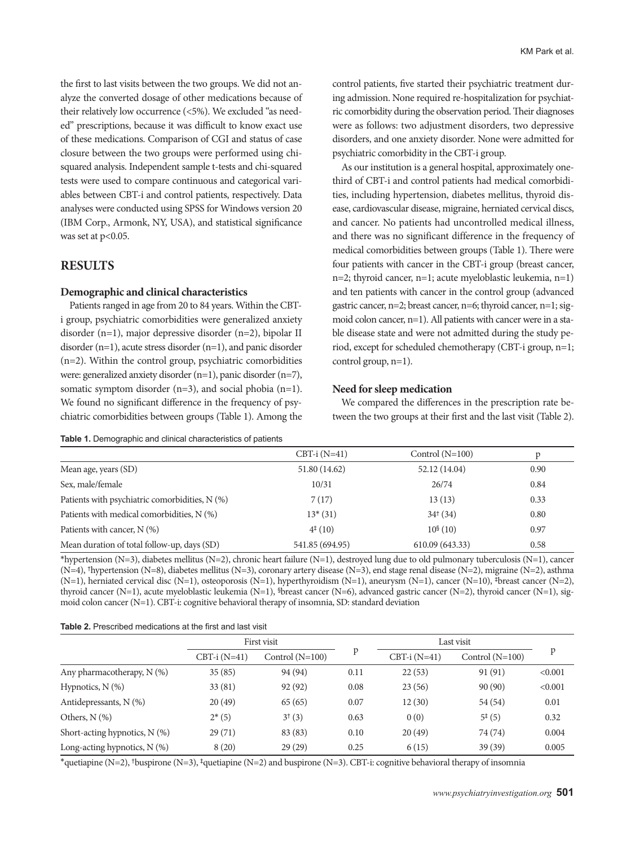the first to last visits between the two groups. We did not analyze the converted dosage of other medications because of their relatively low occurrence (<5%). We excluded "as needed" prescriptions, because it was difficult to know exact use of these medications. Comparison of CGI and status of case closure between the two groups were performed using chisquared analysis. Independent sample t-tests and chi-squared tests were used to compare continuous and categorical variables between CBT-i and control patients, respectively. Data analyses were conducted using SPSS for Windows version 20 (IBM Corp., Armonk, NY, USA), and statistical significance was set at p<0.05.

# **Results**

# **Demographic and clinical characteristics**

Patients ranged in age from 20 to 84 years. Within the CBTi group, psychiatric comorbidities were generalized anxiety disorder (n=1), major depressive disorder (n=2), bipolar II disorder (n=1), acute stress disorder (n=1), and panic disorder (n=2). Within the control group, psychiatric comorbidities were: generalized anxiety disorder (n=1), panic disorder (n=7), somatic symptom disorder (n=3), and social phobia (n=1). We found no significant difference in the frequency of psychiatric comorbidities between groups (Table 1). Among the

**Table 1.** Demographic and clinical characteristics of patients

control patients, five started their psychiatric treatment during admission. None required re-hospitalization for psychiatric comorbidity during the observation period. Their diagnoses were as follows: two adjustment disorders, two depressive disorders, and one anxiety disorder. None were admitted for psychiatric comorbidity in the CBT-i group.

As our institution is a general hospital, approximately onethird of CBT-i and control patients had medical comorbidities, including hypertension, diabetes mellitus, thyroid disease, cardiovascular disease, migraine, herniated cervical discs, and cancer. No patients had uncontrolled medical illness, and there was no significant difference in the frequency of medical comorbidities between groups (Table 1). There were four patients with cancer in the CBT-i group (breast cancer, n=2; thyroid cancer, n=1; acute myeloblastic leukemia, n=1) and ten patients with cancer in the control group (advanced gastric cancer, n=2; breast cancer, n=6; thyroid cancer, n=1; sigmoid colon cancer, n=1). All patients with cancer were in a stable disease state and were not admitted during the study period, except for scheduled chemotherapy (CBT-i group, n=1; control group, n=1).

# **Need for sleep medication**

We compared the differences in the prescription rate between the two groups at their first and the last visit (Table 2).

|                                                | $CBT-i(N=41)$       | Control $(N=100)$    | p    |
|------------------------------------------------|---------------------|----------------------|------|
| Mean age, years (SD)                           | 51.80 (14.62)       | 52.12 (14.04)        | 0.90 |
| Sex, male/female                               | 10/31               | 26/74                | 0.84 |
| Patients with psychiatric comorbidities, N (%) | 7(17)               | 13(13)               | 0.33 |
| Patients with medical comorbidities, N (%)     | $13*(31)$           | $34^{\dagger} (34)$  | 0.80 |
| Patients with cancer, $N$ (%)                  | $4^{\ddagger}$ (10) | 10 <sup>§</sup> (10) | 0.97 |
| Mean duration of total follow-up, days (SD)    | 541.85 (694.95)     | 610.09 (643.33)      | 0.58 |

\*hypertension (N=3), diabetes mellitus (N=2), chronic heart failure (N=1), destroyed lung due to old pulmonary tuberculosis (N=1), cancer (N=4), †hypertension (N=8), diabetes mellitus (N=3), coronary artery disease (N=3), end stage renal disease (N=2), migraine (N=2), asthma (N=1), herniated cervical disc (N=1), osteoporosis (N=1), hyperthyroidism (N=1), aneurysm (N=1), cancer (N=10), ‡breast cancer (N=2), thyroid cancer (N=1), acute myeloblastic leukemia (N=1), §breast cancer (N=6), advanced gastric cancer (N=2), thyroid cancer (N=1), sigmoid colon cancer (N=1). CBT-i: cognitive behavioral therapy of insomnia, SD: standard deviation

| <b>Table 2.</b> Prescribed medications at the first and last visit |
|--------------------------------------------------------------------|
|--------------------------------------------------------------------|

|                               | First visit   |                   |      | Last visit    |                   |         |
|-------------------------------|---------------|-------------------|------|---------------|-------------------|---------|
|                               | $CBT-i(N=41)$ | Control $(N=100)$ |      | $CBT-i(N=41)$ | Control $(N=100)$ | p       |
| Any pharmacotherapy, $N$ (%)  | 35(85)        | 94 (94)           | 0.11 | 22(53)        | 91(91)            | < 0.001 |
| Hypnotics, $N$ $(\%)$         | 33(81)        | 92(92)            | 0.08 | 23(56)        | 90(90)            | < 0.001 |
| Antidepressants, $N$ $(\%)$   | 20(49)        | 65(65)            | 0.07 | 12(30)        | 54 (54)           | 0.01    |
| Others, $N$ $(\%)$            | $2*(5)$       | $3^{+}(3)$        | 0.63 | 0(0)          | $5^{\ddagger}(5)$ | 0.32    |
| Short-acting hypnotics, N (%) | 29(71)        | 83 (83)           | 0.10 | 20(49)        | 74 (74)           | 0.004   |
| Long-acting hypnotics, N (%)  | 8(20)         | 29(29)            | 0.25 | 6(15)         | 39(39)            | 0.005   |

\*quetiapine (N=2), †buspirone (N=3), ‡quetiapine (N=2) and buspirone (N=3). CBT-i: cognitive behavioral therapy of insomnia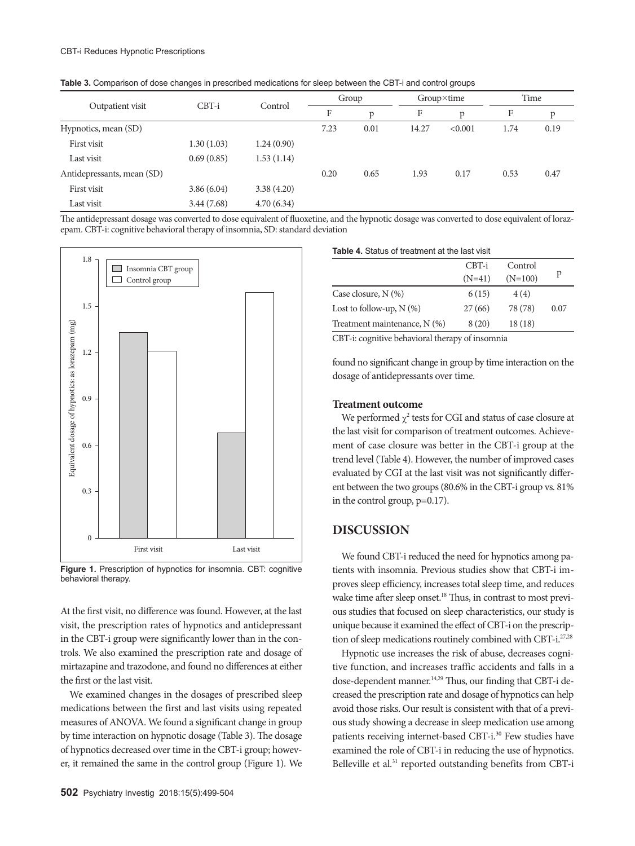| Outpatient visit           | $CBT-i$    |            | Group |      | Group×time |         | Time |      |
|----------------------------|------------|------------|-------|------|------------|---------|------|------|
|                            |            | Control    | F     | D    | F          | p       | F    | p    |
| Hypnotics, mean (SD)       |            |            | 7.23  | 0.01 | 14.27      | < 0.001 | 1.74 | 0.19 |
| First visit                | 1.30(1.03) | 1.24(0.90) |       |      |            |         |      |      |
| Last visit                 | 0.69(0.85) | 1.53(1.14) |       |      |            |         |      |      |
| Antidepressants, mean (SD) |            |            | 0.20  | 0.65 | 1.93       | 0.17    | 0.53 | 0.47 |
| First visit                | 3.86(6.04) | 3.38(4.20) |       |      |            |         |      |      |
| Last visit                 | 3.44(7.68) | 4.70(6.34) |       |      |            |         |      |      |

**Table 3.** Comparison of dose changes in prescribed medications for sleep between the CBT-i and control groups

The antidepressant dosage was converted to dose equivalent of fluoxetine, and the hypnotic dosage was converted to dose equivalent of lorazepam. CBT-i: cognitive behavioral therapy of insomnia, SD: standard deviation





At the first visit, no difference was found. However, at the last visit, the prescription rates of hypnotics and antidepressant in the CBT-i group were significantly lower than in the controls. We also examined the prescription rate and dosage of mirtazapine and trazodone, and found no differences at either the first or the last visit.

We examined changes in the dosages of prescribed sleep medications between the first and last visits using repeated measures of ANOVA. We found a significant change in group by time interaction on hypnotic dosage (Table 3). The dosage of hypnotics decreased over time in the CBT-i group; however, it remained the same in the control group (Figure 1). We

|                              | CBT-i<br>$(N=41)$ | Control<br>$(N=100)$ | p    |
|------------------------------|-------------------|----------------------|------|
| Case closure, N (%)          | 6(15)             | 4(4)                 |      |
| Lost to follow-up, $N$ (%)   | 27(66)            | 78 (78)              | 0.07 |
| Treatment maintenance, N (%) | 8(20)             | 18(18)               |      |

CBT-i: cognitive behavioral therapy of insomnia

found no significant change in group by time interaction on the dosage of antidepressants over time.

### **Treatment outcome**

We performed  $\chi^2$  tests for CGI and status of case closure at the last visit for comparison of treatment outcomes. Achievement of case closure was better in the CBT-i group at the trend level (Table 4). However, the number of improved cases evaluated by CGI at the last visit was not significantly different between the two groups (80.6% in the CBT-i group vs. 81% in the control group, p=0.17).

# **Discussion**

We found CBT-i reduced the need for hypnotics among patients with insomnia. Previous studies show that CBT-i improves sleep efficiency, increases total sleep time, and reduces wake time after sleep onset.<sup>18</sup> Thus, in contrast to most previous studies that focused on sleep characteristics, our study is unique because it examined the effect of CBT-i on the prescription of sleep medications routinely combined with CBT-i.<sup>27,28</sup>

Hypnotic use increases the risk of abuse, decreases cognitive function, and increases traffic accidents and falls in a dose-dependent manner.<sup>14,29</sup> Thus, our finding that CBT-i decreased the prescription rate and dosage of hypnotics can help avoid those risks. Our result is consistent with that of a previous study showing a decrease in sleep medication use among patients receiving internet-based CBT-i.<sup>30</sup> Few studies have examined the role of CBT-i in reducing the use of hypnotics. Belleville et al.<sup>31</sup> reported outstanding benefits from CBT-i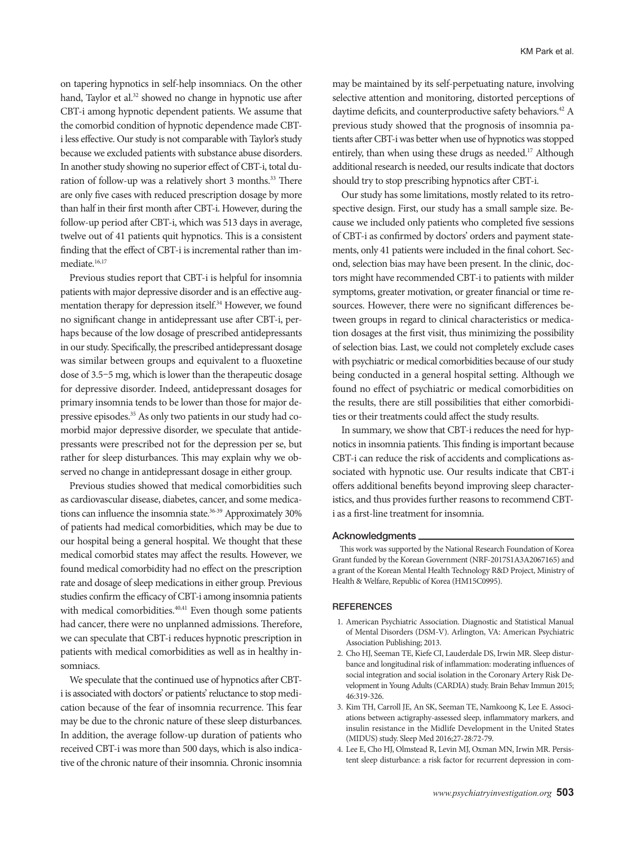on tapering hypnotics in self-help insomniacs. On the other hand, Taylor et al.<sup>32</sup> showed no change in hypnotic use after CBT-i among hypnotic dependent patients. We assume that the comorbid condition of hypnotic dependence made CBTi less effective. Our study is not comparable with Taylor's study because we excluded patients with substance abuse disorders. In another study showing no superior effect of CBT-i, total duration of follow-up was a relatively short 3 months.<sup>33</sup> There are only five cases with reduced prescription dosage by more than half in their first month after CBT-i. However, during the follow-up period after CBT-i, which was 513 days in average, twelve out of 41 patients quit hypnotics. This is a consistent finding that the effect of CBT-i is incremental rather than immediate.<sup>16,17</sup>

Previous studies report that CBT-i is helpful for insomnia patients with major depressive disorder and is an effective augmentation therapy for depression itself.<sup>34</sup> However, we found no significant change in antidepressant use after CBT-i, perhaps because of the low dosage of prescribed antidepressants in our study. Specifically, the prescribed antidepressant dosage was similar between groups and equivalent to a fluoxetine dose of 3.5–5 mg, which is lower than the therapeutic dosage for depressive disorder. Indeed, antidepressant dosages for primary insomnia tends to be lower than those for major depressive episodes.35 As only two patients in our study had comorbid major depressive disorder, we speculate that antidepressants were prescribed not for the depression per se, but rather for sleep disturbances. This may explain why we observed no change in antidepressant dosage in either group.

Previous studies showed that medical comorbidities such as cardiovascular disease, diabetes, cancer, and some medications can influence the insomnia state.<sup>36-39</sup> Approximately 30% of patients had medical comorbidities, which may be due to our hospital being a general hospital. We thought that these medical comorbid states may affect the results. However, we found medical comorbidity had no effect on the prescription rate and dosage of sleep medications in either group. Previous studies confirm the efficacy of CBT-i among insomnia patients with medical comorbidities.<sup>40,41</sup> Even though some patients had cancer, there were no unplanned admissions. Therefore, we can speculate that CBT-i reduces hypnotic prescription in patients with medical comorbidities as well as in healthy insomniacs.

We speculate that the continued use of hypnotics after CBTi is associated with doctors' or patients' reluctance to stop medication because of the fear of insomnia recurrence. This fear may be due to the chronic nature of these sleep disturbances. In addition, the average follow-up duration of patients who received CBT-i was more than 500 days, which is also indicative of the chronic nature of their insomnia. Chronic insomnia may be maintained by its self-perpetuating nature, involving selective attention and monitoring, distorted perceptions of daytime deficits, and counterproductive safety behaviors.<sup>42</sup> A previous study showed that the prognosis of insomnia patients after CBT-i was better when use of hypnotics was stopped entirely, than when using these drugs as needed.<sup>17</sup> Although additional research is needed, our results indicate that doctors should try to stop prescribing hypnotics after CBT-i.

Our study has some limitations, mostly related to its retrospective design. First, our study has a small sample size. Because we included only patients who completed five sessions of CBT-i as confirmed by doctors' orders and payment statements, only 41 patients were included in the final cohort. Second, selection bias may have been present. In the clinic, doctors might have recommended CBT-i to patients with milder symptoms, greater motivation, or greater financial or time resources. However, there were no significant differences between groups in regard to clinical characteristics or medication dosages at the first visit, thus minimizing the possibility of selection bias. Last, we could not completely exclude cases with psychiatric or medical comorbidities because of our study being conducted in a general hospital setting. Although we found no effect of psychiatric or medical comorbidities on the results, there are still possibilities that either comorbidities or their treatments could affect the study results.

In summary, we show that CBT-i reduces the need for hypnotics in insomnia patients. This finding is important because CBT-i can reduce the risk of accidents and complications associated with hypnotic use. Our results indicate that CBT-i offers additional benefits beyond improving sleep characteristics, and thus provides further reasons to recommend CBTi as a first-line treatment for insomnia.

#### **Acknowledaments**

This work was supported by the National Research Foundation of Korea Grant funded by the Korean Government (NRF-2017S1A3A2067165) and a grant of the Korean Mental Health Technology R&D Project, Ministry of Health & Welfare, Republic of Korea (HM15C0995).

### **REFERENCES**

- 1. American Psychiatric Association. Diagnostic and Statistical Manual of Mental Disorders (DSM-V). Arlington, VA: American Psychiatric Association Publishing; 2013.
- 2. Cho HJ, Seeman TE, Kiefe CI, Lauderdale DS, Irwin MR. Sleep disturbance and longitudinal risk of inflammation: moderating influences of social integration and social isolation in the Coronary Artery Risk Development in Young Adults (CARDIA) study. Brain Behav Immun 2015; 46:319-326.
- 3. Kim TH, Carroll JE, An SK, Seeman TE, Namkoong K, Lee E. Associations between actigraphy-assessed sleep, inflammatory markers, and insulin resistance in the Midlife Development in the United States (MIDUS) study. Sleep Med 2016;27-28:72-79.
- 4. Lee E, Cho HJ, Olmstead R, Levin MJ, Oxman MN, Irwin MR. Persistent sleep disturbance: a risk factor for recurrent depression in com-